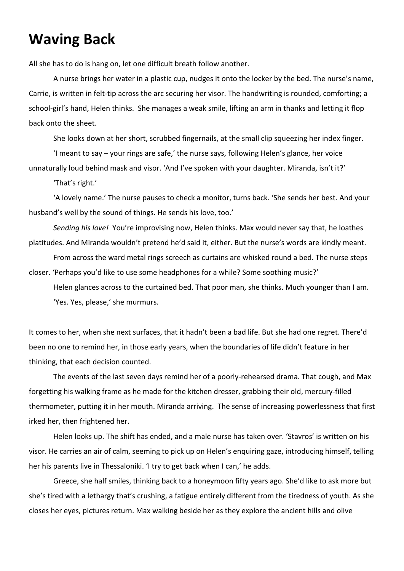## **Waving Back**

All she has to do is hang on, let one difficult breath follow another.

A nurse brings her water in a plastic cup, nudges it onto the locker by the bed. The nurse's name, Carrie, is written in felt-tip across the arc securing her visor. The handwriting is rounded, comforting; a school-girl's hand, Helen thinks. She manages a weak smile, lifting an arm in thanks and letting it flop back onto the sheet.

She looks down at her short, scrubbed fingernails, at the small clip squeezing her index finger.

'I meant to say – your rings are safe,' the nurse says, following Helen's glance, her voice unnaturally loud behind mask and visor. 'And I've spoken with your daughter. Miranda, isn't it?'

'That's right.'

'A lovely name.' The nurse pauses to check a monitor, turns back. 'She sends her best. And your husband's well by the sound of things. He sends his love, too.'

*Sending his love!* You're improvising now, Helen thinks. Max would never say that, he loathes platitudes. And Miranda wouldn't pretend he'd said it, either. But the nurse's words are kindly meant.

From across the ward metal rings screech as curtains are whisked round a bed. The nurse steps closer. 'Perhaps you'd like to use some headphones for a while? Some soothing music?'

Helen glances across to the curtained bed. That poor man, she thinks. Much younger than I am. 'Yes. Yes, please,' she murmurs.

It comes to her, when she next surfaces, that it hadn't been a bad life. But she had one regret. There'd been no one to remind her, in those early years, when the boundaries of life didn't feature in her thinking, that each decision counted.

The events of the last seven days remind her of a poorly-rehearsed drama. That cough, and Max forgetting his walking frame as he made for the kitchen dresser, grabbing their old, mercury-filled thermometer, putting it in her mouth. Miranda arriving. The sense of increasing powerlessness that first irked her, then frightened her.

Helen looks up. The shift has ended, and a male nurse has taken over. 'Stavros' is written on his visor. He carries an air of calm, seeming to pick up on Helen's enquiring gaze, introducing himself, telling her his parents live in Thessaloniki. 'I try to get back when I can,' he adds.

Greece, she half smiles, thinking back to a honeymoon fifty years ago. She'd like to ask more but she's tired with a lethargy that's crushing, a fatigue entirely different from the tiredness of youth. As she closes her eyes, pictures return. Max walking beside her as they explore the ancient hills and olive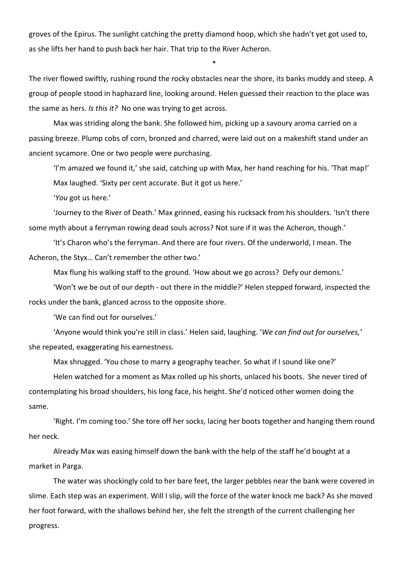groves of the Epirus. The sunlight catching the pretty diamond hoop, which she hadn't yet got used to, as she lifts her hand to push back her hair. That trip to the River Acheron.

The river flowed swiftly, rushing round the rocky obstacles near the shore, its banks muddy and steep. A group of people stood in haphazard line, looking around. Helen guessed their reaction to the place was the same as hers. *Is this it?* No one was trying to get across.

\*

Max was striding along the bank. She followed him, picking up a savoury aroma carried on a passing breeze. Plump cobs of corn, bronzed and charred, were laid out on a makeshift stand under an ancient sycamore. One or two people were purchasing.

'I'm amazed we found it,' she said, catching up with Max, her hand reaching for his. 'That map!' Max laughed. 'Sixty per cent accurate. But it got us here.'

'*You* got us here.'

'Journey to the River of Death.' Max grinned, easing his rucksack from his shoulders. 'Isn't there some myth about a ferryman rowing dead souls across? Not sure if it was the Acheron, though.'

'It's Charon who's the ferryman. And there are four rivers. Of the underworld, I mean. The Acheron, the Styx… Can't remember the other two.'

Max flung his walking staff to the ground. 'How about we go across? Defy our demons.'

'Won't we be out of our depth - out there in the middle?' Helen stepped forward, inspected the rocks under the bank, glanced across to the opposite shore.

'We can find out for ourselves.'

'Anyone would think you're still in class.' Helen said, laughing. '*We can find out for ourselves,'*  she repeated, exaggerating his earnestness.

Max shrugged. 'You chose to marry a geography teacher. So what if I sound like one?'

Helen watched for a moment as Max rolled up his shorts, unlaced his boots. She never tired of contemplating his broad shoulders, his long face, his height. She'd noticed other women doing the same.

'Right. I'm coming too.' She tore off her socks, lacing her boots together and hanging them round her neck.

Already Max was easing himself down the bank with the help of the staff he'd bought at a market in Parga.

The water was shockingly cold to her bare feet, the larger pebbles near the bank were covered in slime. Each step was an experiment. Will I slip, will the force of the water knock me back? As she moved her foot forward, with the shallows behind her, she felt the strength of the current challenging her progress.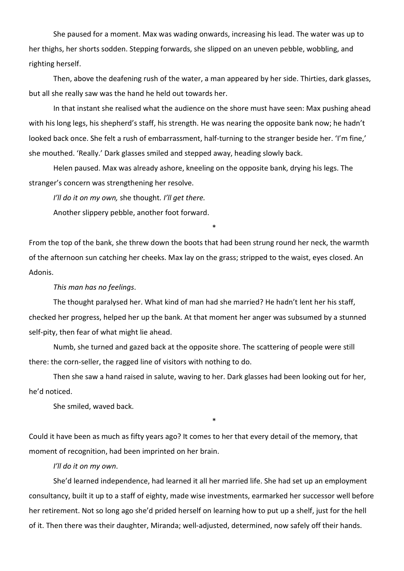She paused for a moment. Max was wading onwards, increasing his lead. The water was up to her thighs, her shorts sodden. Stepping forwards, she slipped on an uneven pebble, wobbling, and righting herself.

Then, above the deafening rush of the water, a man appeared by her side. Thirties, dark glasses, but all she really saw was the hand he held out towards her.

In that instant she realised what the audience on the shore must have seen: Max pushing ahead with his long legs, his shepherd's staff, his strength. He was nearing the opposite bank now; he hadn't looked back once. She felt a rush of embarrassment, half-turning to the stranger beside her. 'I'm fine,' she mouthed. 'Really.' Dark glasses smiled and stepped away, heading slowly back.

Helen paused. Max was already ashore, kneeling on the opposite bank, drying his legs. The stranger's concern was strengthening her resolve.

*I'll do it on my own,* she thought*. I'll get there.* 

Another slippery pebble, another foot forward.

From the top of the bank, she threw down the boots that had been strung round her neck, the warmth of the afternoon sun catching her cheeks. Max lay on the grass; stripped to the waist, eyes closed. An Adonis.

\*

## *This man has no feelings*.

The thought paralysed her. What kind of man had she married? He hadn't lent her his staff, checked her progress, helped her up the bank. At that moment her anger was subsumed by a stunned self-pity, then fear of what might lie ahead.

Numb, she turned and gazed back at the opposite shore. The scattering of people were still there: the corn-seller, the ragged line of visitors with nothing to do.

Then she saw a hand raised in salute, waving to her. Dark glasses had been looking out for her, he'd noticed.

\*

She smiled, waved back.

Could it have been as much as fifty years ago? It comes to her that every detail of the memory, that moment of recognition, had been imprinted on her brain.

*I'll do it on my own*.

She'd learned independence, had learned it all her married life. She had set up an employment consultancy, built it up to a staff of eighty, made wise investments, earmarked her successor well before her retirement. Not so long ago she'd prided herself on learning how to put up a shelf, just for the hell of it. Then there was their daughter, Miranda; well-adjusted, determined, now safely off their hands.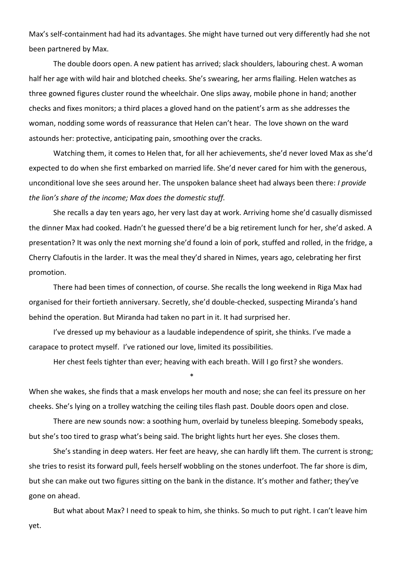Max's self-containment had had its advantages. She might have turned out very differently had she not been partnered by Max.

The double doors open. A new patient has arrived; slack shoulders, labouring chest. A woman half her age with wild hair and blotched cheeks. She's swearing, her arms flailing. Helen watches as three gowned figures cluster round the wheelchair. One slips away, mobile phone in hand; another checks and fixes monitors; a third places a gloved hand on the patient's arm as she addresses the woman, nodding some words of reassurance that Helen can't hear. The love shown on the ward astounds her: protective, anticipating pain, smoothing over the cracks.

Watching them, it comes to Helen that, for all her achievements, she'd never loved Max as she'd expected to do when she first embarked on married life. She'd never cared for him with the generous, unconditional love she sees around her. The unspoken balance sheet had always been there: *I provide the lion's share of the income; Max does the domestic stuff.* 

She recalls a day ten years ago, her very last day at work. Arriving home she'd casually dismissed the dinner Max had cooked. Hadn't he guessed there'd be a big retirement lunch for her, she'd asked. A presentation? It was only the next morning she'd found a loin of pork, stuffed and rolled, in the fridge, a Cherry Clafoutis in the larder. It was the meal they'd shared in Nimes, years ago, celebrating her first promotion.

There had been times of connection, of course. She recalls the long weekend in Riga Max had organised for their fortieth anniversary. Secretly, she'd double-checked, suspecting Miranda's hand behind the operation. But Miranda had taken no part in it. It had surprised her.

I've dressed up my behaviour as a laudable independence of spirit, she thinks. I've made a carapace to protect myself. I've rationed our love, limited its possibilities.

\*

Her chest feels tighter than ever; heaving with each breath. Will I go first? she wonders.

When she wakes, she finds that a mask envelops her mouth and nose; she can feel its pressure on her cheeks. She's lying on a trolley watching the ceiling tiles flash past. Double doors open and close.

There are new sounds now: a soothing hum, overlaid by tuneless bleeping. Somebody speaks, but she's too tired to grasp what's being said. The bright lights hurt her eyes. She closes them.

She's standing in deep waters. Her feet are heavy, she can hardly lift them. The current is strong; she tries to resist its forward pull, feels herself wobbling on the stones underfoot. The far shore is dim, but she can make out two figures sitting on the bank in the distance. It's mother and father; they've gone on ahead.

But what about Max? I need to speak to him, she thinks. So much to put right. I can't leave him yet.